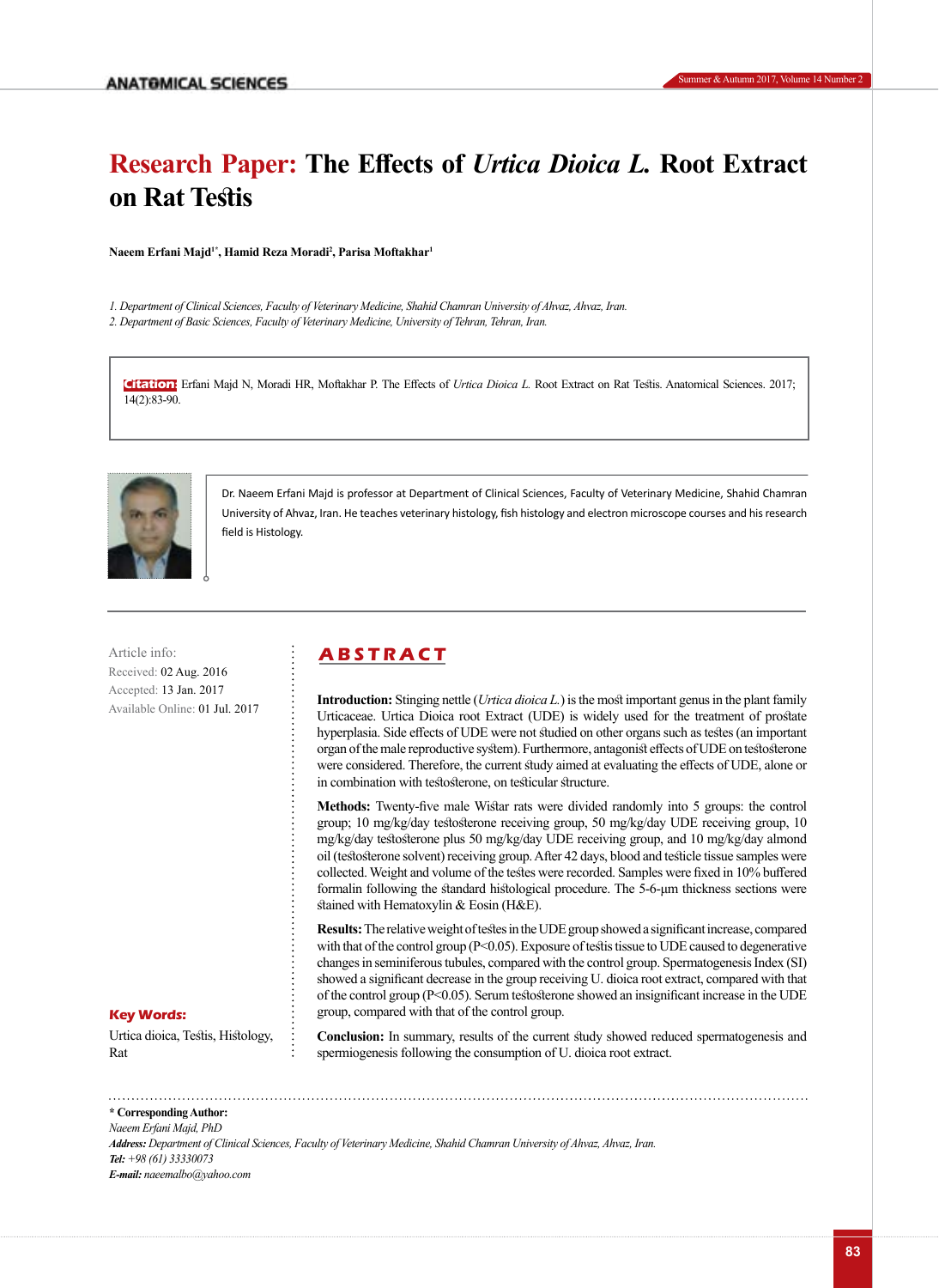# **Research Paper: The Effects of** *Urtica Dioica L.* **Root Extract on Rat Testis**

**Naeem Erfani Majd1\*, Hamid Reza Moradi<sup>2</sup> , Parisa Moftakhar<sup>1</sup>**

*1. Department of Clinical Sciences, Faculty of Veterinary Medicine, Shahid Chamran University of Ahvaz, Ahvaz, Iran.* 

*2. Department of Basic Sciences, Faculty of Veterinary Medicine, University of Tehran, Tehran, Iran.* 

**Citation:** Erfani Majd N, Moradi HR, Moftakhar P. The Effects of *Urtica Dioica L.* Root Extract on Rat Testis. Anatomical Sciences. 2017; 14(2):83-90.



Dr. Naeem Erfani Majd is professor at Department of Clinical Sciences, Faculty of Veterinary Medicine, Shahid Chamran University of Ahvaz, Iran. He teaches veterinary histology, fish histology and electron microscope courses and his research field is Histology.

Article info: **ABSTRACT** Received: 02 Aug. 2016 Accepted: 13 Jan. 2017 Available Online: 01 Jul. 2017

**Introduction:** Stinging nettle (*Urtica dioica L.*) is the most important genus in the plant family Urticaceae. Urtica Dioica root Extract (UDE) is widely used for the treatment of prostate hyperplasia. Side effects of UDE were not studied on other organs such as testes (an important organ of the male reproductive system). Furthermore, antagonist effects of UDE on testosterone were considered. Therefore, the current study aimed at evaluating the effects of UDE, alone or in combination with testosterone, on testicular structure.

**Methods:** Twenty-five male Wistar rats were divided randomly into 5 groups: the control group; 10 mg/kg/day testosterone receiving group, 50 mg/kg/day UDE receiving group, 10 mg/kg/day testosterone plus 50 mg/kg/day UDE receiving group, and 10 mg/kg/day almond oil (testosterone solvent) receiving group. After 42 days, blood and testicle tissue samples were collected. Weight and volume of the testes were recorded. Samples were fixed in 10% buffered formalin following the standard histological procedure. The 5-6-μm thickness sections were stained with Hematoxylin & Eosin (H&E).

**Results:** The relative weight of testes in the UDE group showed a significant increase, compared with that of the control group (P<0.05). Exposure of testis tissue to UDE caused to degenerative changes in seminiferous tubules, compared with the control group. Spermatogenesis Index (SI) showed a significant decrease in the group receiving U. dioica root extract, compared with that of the control group (P<0.05). Serum testosterone showed an insignificant increase in the UDE group, compared with that of the control group.

#### **Key Words:**

Urtica dioica, Testis, Histology, Rat

**Conclusion:** In summary, results of the current study showed reduced spermatogenesis and spermiogenesis following the consumption of U. dioica root extract.

**\* Corresponding Author:** *Naeem Erfani Majd, PhD Address: Department of Clinical Sciences, Faculty of Veterinary Medicine, Shahid Chamran University of Ahvaz, Ahvaz, Iran. Tel: +98 (61) 33330073 E-mail: naeemalbo@yahoo.com*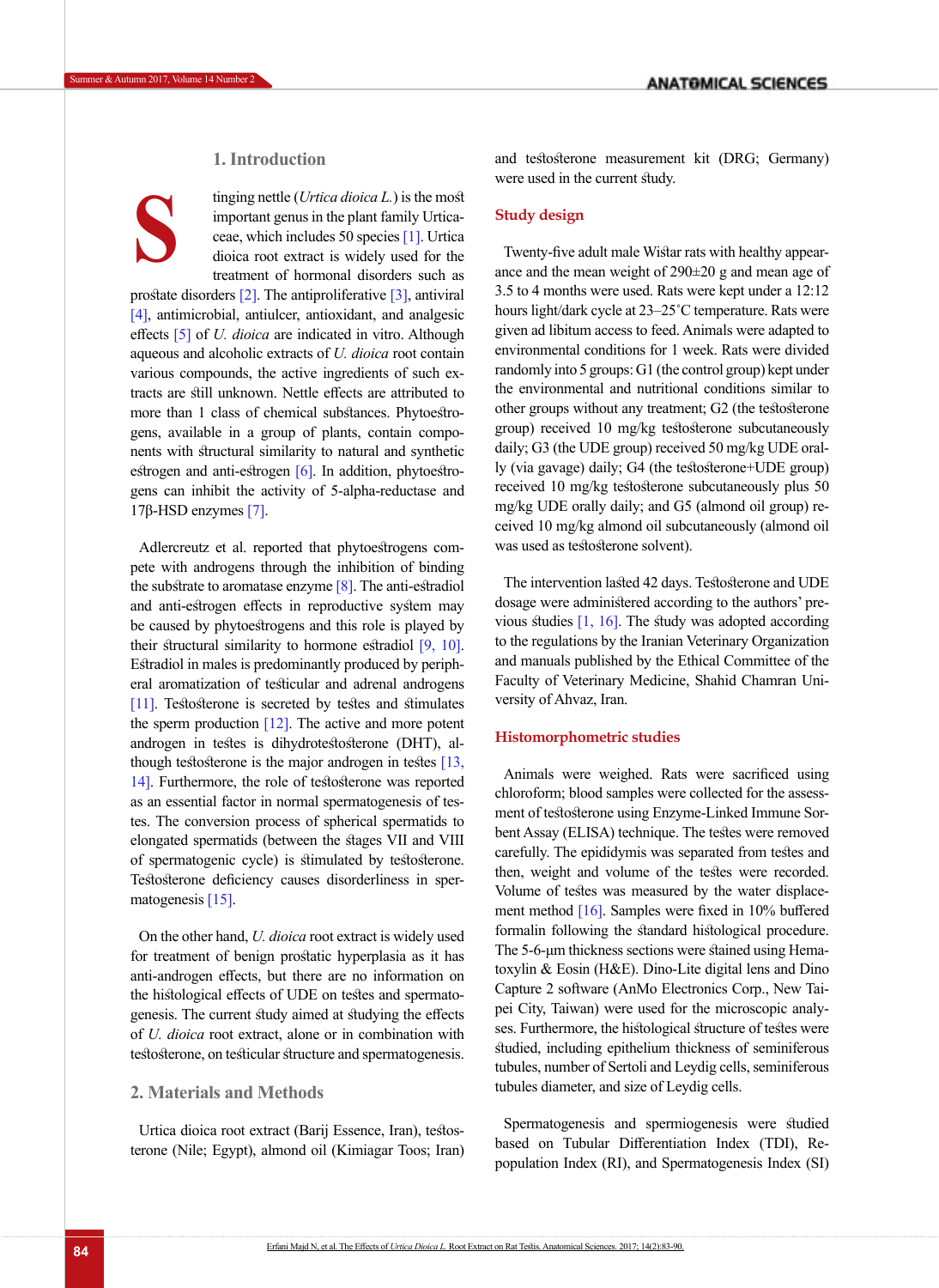# **1. Introduction**

**S**

tinging nettle (*Urtica dioica L.*) is the most important genus in the plant family Urticaceae, which includes 50 species [\[1\].](#page-6-0) Urtica dioica root extract is widely used for the treatment of hormonal disorders such as

prostate disorders [2]. The antiproliferative [3], antiviral [\[4\],](#page-6-1) antimicrobial, antiulcer, antioxidant, and analgesic effects [5] of *U. dioica* are indicated in vitro. Although aqueous and alcoholic extracts of *U. dioica* root contain various compounds, the active ingredients of such extracts are still unknown. Nettle effects are attributed to more than 1 class of chemical substances. Phytoestrogens, available in a group of plants, contain components with structural similarity to natural and synthetic estrogen and anti-estrogen [\[6\]](#page-6-2). In addition, phytoestrogens can inhibit the activity of 5-alpha-reductase and 17β-HSD enzymes [7].

Adlercreutz et al. reported that phytoestrogens compete with androgens through the inhibition of binding the substrate to aromatase enzyme  $[8]$ . The anti-estradiol and anti-estrogen effects in reproductive system may be caused by phytoestrogens and this role is played by their structural similarity to hormone estradiol [\[9,](#page-6-3) [10\]](#page-6-4). Estradiol in males is predominantly produced by peripheral aromatization of testicular and adrenal androgens [\[11\]](#page-6-5). Testosterone is secreted by testes and stimulates the sperm production  $[12]$ . The active and more potent androgen in testes is dihydrotestosterone (DHT), although testosterone is the major androgen in testes [13, [14\].](#page-6-7) Furthermore, the role of testosterone was reported as an essential factor in normal spermatogenesis of testes. The conversion process of spherical spermatids to elongated spermatids (between the stages VII and VIII of spermatogenic cycle) is stimulated by testosterone. Testosterone deficiency causes disorderliness in spermatogenesis [\[15\]](#page-6-8).

On the other hand, *U. dioica* root extract is widely used for treatment of benign prostatic hyperplasia as it has anti-androgen effects, but there are no information on the histological effects of UDE on testes and spermatogenesis. The current study aimed at studying the effects of *U. dioica* root extract, alone or in combination with testosterone, on testicular structure and spermatogenesis.

# **2. Materials and Methods**

Urtica dioica root extract (Barij Essence, Iran), testosterone (Nile; Egypt), almond oil (Kimiagar Toos; Iran) and testosterone measurement kit (DRG; Germany) were used in the current study.

# **Study design**

Twenty-five adult male Wistar rats with healthy appearance and the mean weight of 290±20 g and mean age of 3.5 to 4 months were used. Rats were kept under a 12:12 hours light/dark cycle at 23–25˚C temperature. Rats were given ad libitum access to feed. Animals were adapted to environmental conditions for 1 week. Rats were divided randomly into 5 groups: G1 (the control group) kept under the environmental and nutritional conditions similar to other groups without any treatment; G2 (the testosterone group) received 10 mg/kg testosterone subcutaneously daily; G3 (the UDE group) received 50 mg/kg UDE orally (via gavage) daily; G4 (the testosterone+UDE group) received 10 mg/kg testosterone subcutaneously plus 50 mg/kg UDE orally daily; and G5 (almond oil group) received 10 mg/kg almond oil subcutaneously (almond oil was used as testosterone solvent).

The intervention lasted 42 days. Testosterone and UDE dosage were administered according to the authors' previous studies [\[1,](#page-6-0) [16\]](#page-6-9). The study was adopted according to the regulations by the Iranian Veterinary Organization and manuals published by the Ethical Committee of the Faculty of Veterinary Medicine, Shahid Chamran University of Ahvaz, Iran.

## **Histomorphometric studies**

Animals were weighed. Rats were sacrificed using chloroform; blood samples were collected for the assessment of testosterone using Enzyme-Linked Immune Sorbent Assay (ELISA) technique. The testes were removed carefully. The epididymis was separated from testes and then, weight and volume of the testes were recorded. Volume of testes was measured by the water displacement method [\[16\]](#page-6-9). Samples were fixed in 10% buffered formalin following the standard histological procedure. The 5-6-μm thickness sections were stained using Hematoxylin & Eosin (H&E). Dino-Lite digital lens and Dino Capture 2 software (AnMo Electronics Corp., New Taipei City, Taiwan) were used for the microscopic analyses. Furthermore, the histological structure of testes were studied, including epithelium thickness of seminiferous tubules, number of Sertoli and Leydig cells, seminiferous tubules diameter, and size of Leydig cells.

Spermatogenesis and spermiogenesis were studied based on Tubular Differentiation Index (TDI), Repopulation Index (RI), and Spermatogenesis Index (SI)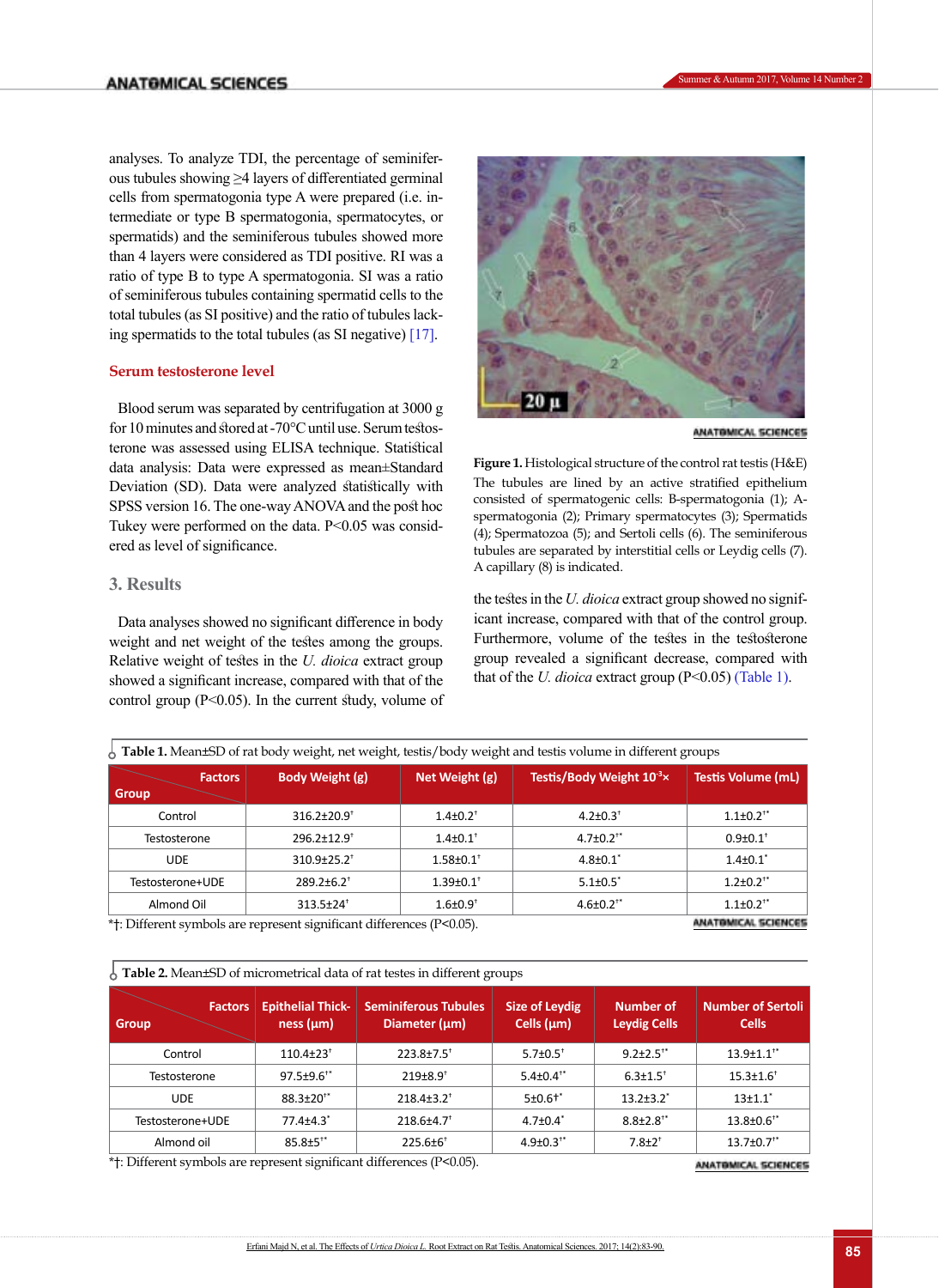analyses. To analyze TDI, the percentage of seminiferous tubules showing ≥4 layers of differentiated germinal cells from spermatogonia type A were prepared (i.e. intermediate or type B spermatogonia, spermatocytes, or spermatids) and the seminiferous tubules showed more than 4 layers were considered as TDI positive. RI was a ratio of type B to type A spermatogonia. SI was a ratio of seminiferous tubules containing spermatid cells to the total tubules (as SI positive) and the ratio of tubules lacking spermatids to the total tubules (as SI negative) [\[17\]](#page-6-10).

# **Serum testosterone level**

Blood serum was separated by centrifugation at 3000 g for 10 minutes and stored at -70°C until use. Serum testosterone was assessed using ELISA technique. Statistical data analysis: Data were expressed as mean±Standard Deviation (SD). Data were analyzed statistically with SPSS version 16. The one-way ANOVA and the post hoc Tukey were performed on the data. P<0.05 was considered as level of significance.

# **3. Results**

Data analyses showed no significant difference in body weight and net weight of the testes among the groups. Relative weight of testes in the *U. dioica* extract group showed a significant increase, compared with that of the control group  $(P<0.05)$ . In the current study, volume of



ANATOMICAL SCIENCES

<span id="page-2-0"></span>**Figure 1.** Histological structure of the control rat testis (H&E) The tubules are lined by an active stratified epithelium consisted of spermatogenic cells: B-spermatogonia (1); Aspermatogonia (2); Primary spermatocytes (3); Spermatids (4); Spermatozoa (5); and Sertoli cells (6). The seminiferous tubules are separated by interstitial cells or Leydig cells (7). A capillary (8) is indicated.

the testes in the *U. dioica* extract group showed no significant increase, compared with that of the control group. Furthermore, volume of the testes in the testosterone group revealed a significant decrease, compared with that of the *U. dioica* extract group (P<0.05) (Table 1).

| $\frac{1}{2}$ Table 1. Mean±SD of rat body weight, net weight, testis/body weight and testis volume in different groups |                               |                             |                                       |                             |  |  |  |  |
|-------------------------------------------------------------------------------------------------------------------------|-------------------------------|-----------------------------|---------------------------------------|-----------------------------|--|--|--|--|
| <b>Factors</b><br><b>Group</b>                                                                                          | Body Weight (g)               | Net Weight (g)              | Testis/Body Weight 10 <sup>-3</sup> x | <b>Testis Volume (mL)</b>   |  |  |  |  |
| Control                                                                                                                 | 316.2±20.9 <sup>+</sup>       | $1.4 \pm 0.2$ <sup>+</sup>  | $4.2 \pm 0.3$ <sup>+</sup>            | $1.1 \pm 0.2$ <sup>**</sup> |  |  |  |  |
| Testosterone                                                                                                            | 296.2±12.9 <sup>+</sup>       | $1.4 \pm 0.1$ <sup>+</sup>  | $4.7 \pm 0.2$ <sup>**</sup>           | $0.9 \pm 0.1$ <sup>+</sup>  |  |  |  |  |
| <b>UDE</b>                                                                                                              | $310.9 \pm 25.2$ <sup>+</sup> | $1.58 \pm 0.1$ <sup>+</sup> | $4.8{\pm}0.1$ <sup>*</sup>            | $1.4 \pm 0.1$ <sup>*</sup>  |  |  |  |  |
| Testosterone+UDE                                                                                                        | $289.2 \pm 6.2$ <sup>+</sup>  | $1.39 \pm 0.1$ <sup>+</sup> | $5.1 \pm 0.5^*$                       | $1.2 \pm 0.2$ <sup>**</sup> |  |  |  |  |
| Almond Oil                                                                                                              | $313.5 \pm 24^+$              | $1.6 \pm 0.9$ <sup>+</sup>  | $4.6 \pm 0.2$ <sup>**</sup>           | $1.1 \pm 0.2$ <sup>**</sup> |  |  |  |  |
| * <sup>†</sup> Different symbols are represent significant differences (P<0.05)                                         |                               | <b>ANATOMICAL SCIENCES</b>  |                                       |                             |  |  |  |  |

\*†: Different symbols are represent significant differences (P<0.05).

Table 2. Mean±SD of micrometrical data of rat testes in different groups

| <b>Factors</b><br><b>Group</b> | <b>Epithelial Thick-</b><br>ness (µm) | <b>Seminiferous Tubules</b><br>Diameter $(\mu m)$ | <b>Size of Leydig</b><br>Cells $(\mu m)$ | <b>Number of</b><br><b>Leydig Cells</b> | <b>Number of Sertoli</b><br><b>Cells</b> |
|--------------------------------|---------------------------------------|---------------------------------------------------|------------------------------------------|-----------------------------------------|------------------------------------------|
| Control                        | $110.4 \pm 23$ <sup>+</sup>           | $223.8 \pm 7.5$ <sup>†</sup>                      | $5.7 \pm 0.5$ <sup>+</sup>               | $9.2 \pm 2.5$ <sup>**</sup>             | $13.9 \pm 1.1$ <sup>**</sup>             |
| Testosterone                   | $97.5 \pm 9.6^{+*}$                   | $219+8.9$ <sup>t</sup>                            | $5.4 \pm 0.4^{+*}$                       | $6.3 \pm 1.5$ <sup>+</sup>              | $15.3 \pm 1.6$ <sup>+</sup>              |
| <b>UDE</b>                     | $88.3 \pm 20^{1*}$                    | $218.4 \pm 3.2^+$                                 | $5±0.6$ <sup>+*</sup>                    | $13.2 + 3.2$ <sup>*</sup>               | $13+1.1$ <sup>*</sup>                    |
| Testosterone+UDE               | $77.4{\pm}4.3$ <sup>*</sup>           | $218.6 \pm 4.7$ <sup>†</sup>                      | $4.7 \pm 0.4$ <sup>*</sup>               | $8.8 \pm 2.8$ <sup>**</sup>             | $13.8 \pm 0.6$ <sup>**</sup>             |
| Almond oil                     | $85.8 \pm 5^{**}$                     | $225.6 \pm 6^+$                                   | $4.9 \pm 0.3^{+*}$                       | $7.8 + 2^{+}$                           | $13.7 \pm 0.7$ <sup>**</sup>             |

\*†: Different symbols are represent significant differences (P<0.05).

ANATOMICAL SCIENCES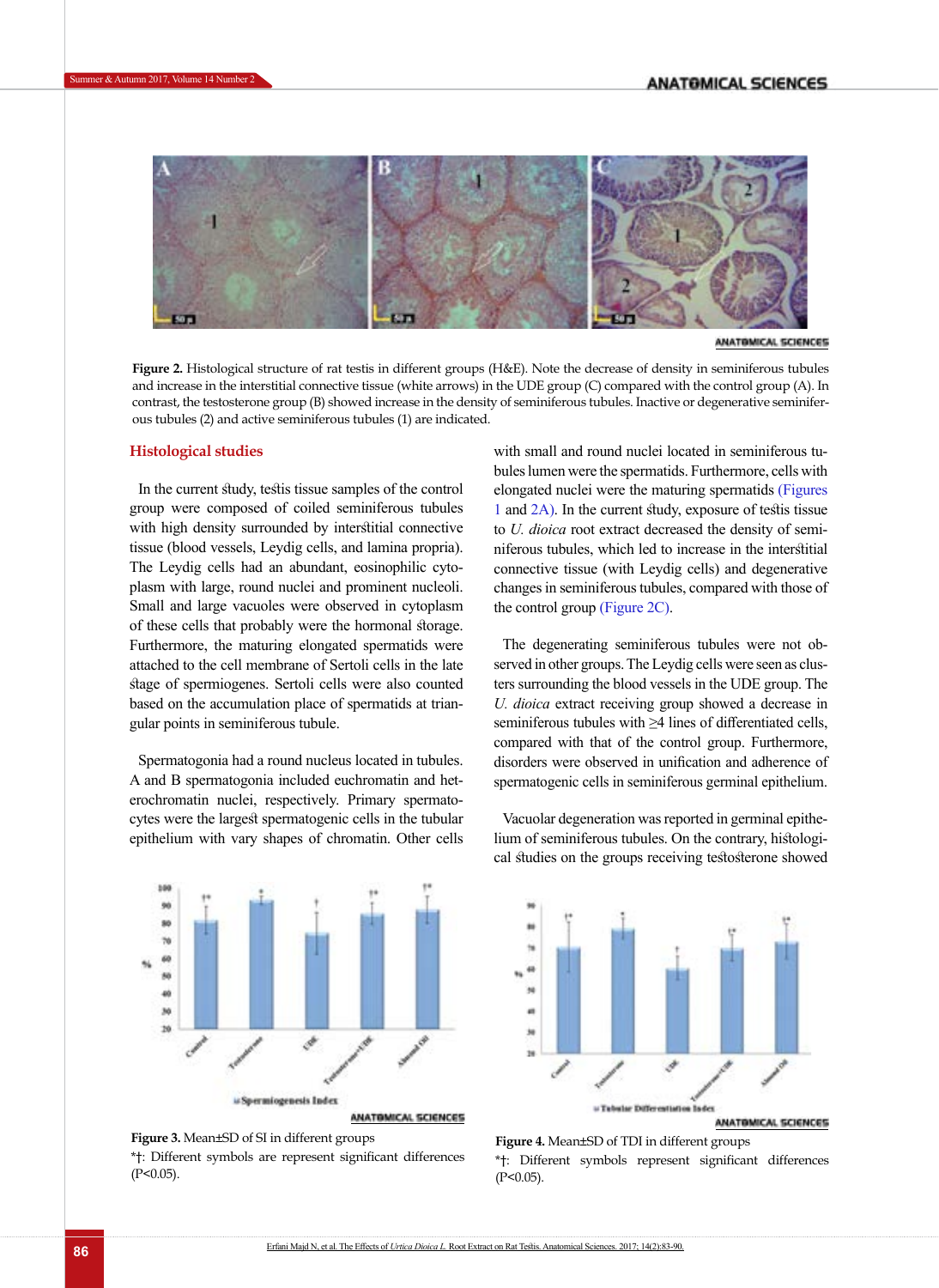

ANATOMICAL SCIENCES

<span id="page-3-0"></span>**Figure 2.** Histological structure of rat testis in different groups (H&E). Note the decrease of density in seminiferous tubules and increase in the interstitial connective tissue (white arrows) in the UDE group (C) compared with the control group (A). In contrast, the testosterone group (B) showed increase in the density of seminiferous tubules. Inactive or degenerative seminiferous tubules (2) and active seminiferous tubules (1) are indicated.

# **Histological studies**

In the current study, testis tissue samples of the control group were composed of coiled seminiferous tubules with high density surrounded by interstitial connective tissue (blood vessels, Leydig cells, and lamina propria). The Leydig cells had an abundant, eosinophilic cytoplasm with large, round nuclei and prominent nucleoli. Small and large vacuoles were observed in cytoplasm of these cells that probably were the hormonal storage. Furthermore, the maturing elongated spermatids were attached to the cell membrane of Sertoli cells in the late stage of spermiogenes. Sertoli cells were also counted based on the accumulation place of spermatids at triangular points in seminiferous tubule.

Spermatogonia had a round nucleus located in tubules. A and B spermatogonia included euchromatin and heterochromatin nuclei, respectively. Primary spermatocytes were the largest spermatogenic cells in the tubular epithelium with vary shapes of chromatin. Other cells

with small and round nuclei located in seminiferous tubules lumen were the spermatids. Furthermore, cells with elongated nuclei were the maturing spermatids [\(Figures](#page-2-0)  [1](#page-2-0) an[d 2A\)](#page-3-0). In the current study, exposure of testis tissue to *U. dioica* root extract decreased the density of seminiferous tubules, which led to increase in the interstitial connective tissue (with Leydig cells) and degenerative changes in seminiferous tubules, compared with those of the control group [\(Figure 2C\)](#page-3-0).

The degenerating seminiferous tubules were not observed in other groups. The Leydig cells were seen as clusters surrounding the blood vessels in the UDE group. The *U. dioica* extract receiving group showed a decrease in seminiferous tubules with ≥4 lines of differentiated cells, compared with that of the control group. Furthermore, disorders were observed in unification and adherence of spermatogenic cells in seminiferous germinal epithelium.



Vacuolar degeneration was reported in germinal epithelium of seminiferous tubules. On the contrary, histological studies on the groups receiving testosterone showed



**Figure 3.** Mean±SD of SI in different groups \*†: Different symbols are represent significant differences  $(P<0.05)$ .

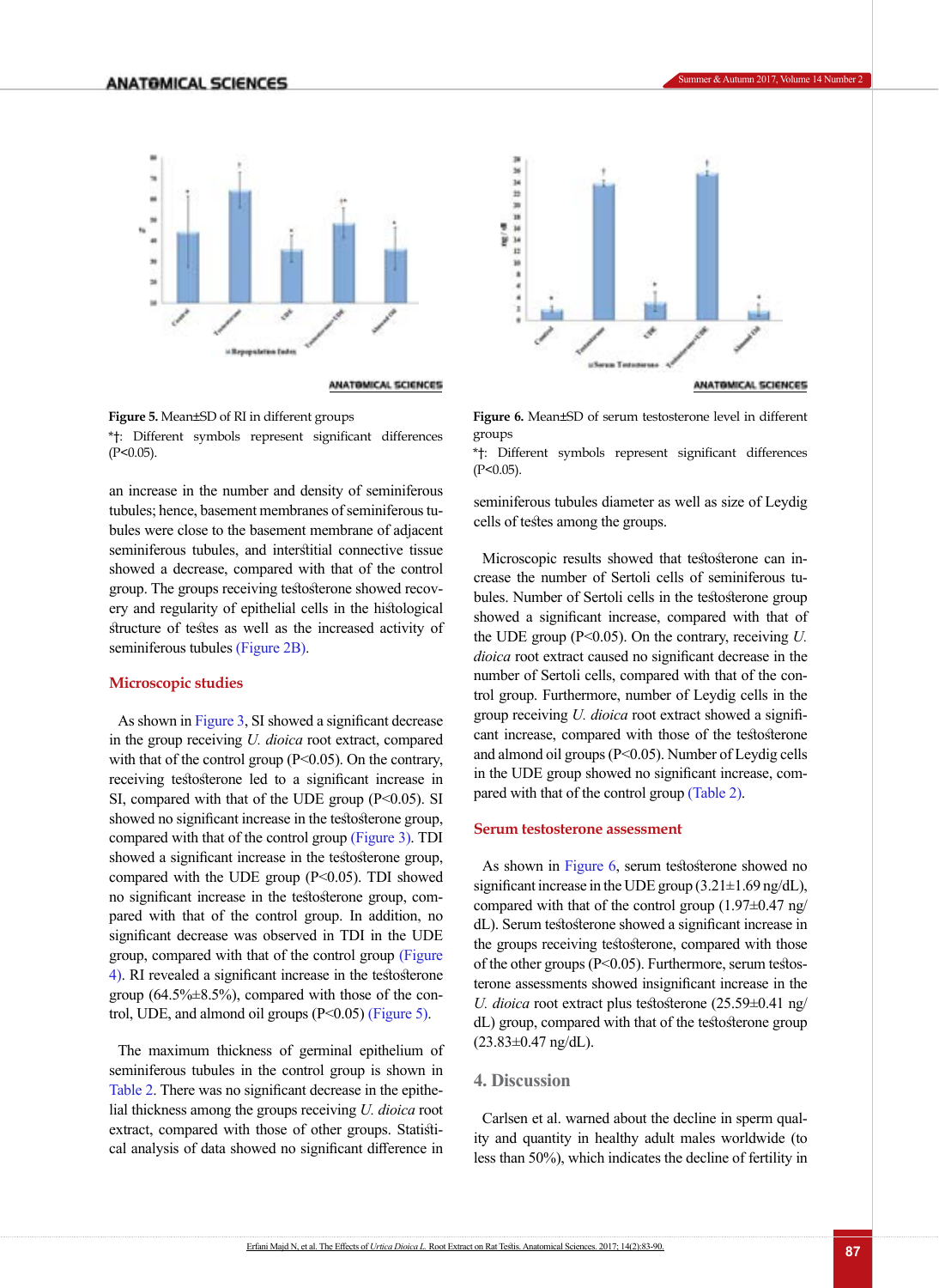

ANATOMICAL SCIENCES

groups

**Figure 5.** Mean±SD of RI in different groups \*†: Different symbols represent significant differences  $(P<0.05)$ .

an increase in the number and density of seminiferous tubules; hence, basement membranes of seminiferous tubules were close to the basement membrane of adjacent seminiferous tubules, and interstitial connective tissue showed a decrease, compared with that of the control group. The groups receiving testosterone showed recovery and regularity of epithelial cells in the histological structure of testes as well as the increased activity of seminiferous tubules [\(Figure 2B\)](#page-3-0).

# **Microscopic studies**

As shown in Figure 3, SI showed a significant decrease in the group receiving *U. dioica* root extract, compared with that of the control group  $(P<0.05)$ . On the contrary, receiving testosterone led to a significant increase in SI, compared with that of the UDE group  $(P<0.05)$ . SI showed no significant increase in the testosterone group, compared with that of the control group (Figure 3). TDI showed a significant increase in the testosterone group, compared with the UDE group  $(P<0.05)$ . TDI showed no significant increase in the testosterone group, compared with that of the control group. In addition, no significant decrease was observed in TDI in the UDE group, compared with that of the control group (Figure 4). RI revealed a significant increase in the testosterone group  $(64.5\% \pm 8.5\%)$ , compared with those of the control, UDE, and almond oil groups (P<0.05) (Figure 5).

The maximum thickness of germinal epithelium of seminiferous tubules in the control group is shown in Table 2. There was no significant decrease in the epithelial thickness among the groups receiving *U. dioica* root extract, compared with those of other groups. Statistical analysis of data showed no significant difference in



**Figure 6.** Mean±SD of serum testosterone level in different

\*†: Different symbols represent significant differences  $(P<0.05)$ .

seminiferous tubules diameter as well as size of Leydig cells of testes among the groups.

Microscopic results showed that testosterone can increase the number of Sertoli cells of seminiferous tubules. Number of Sertoli cells in the testosterone group showed a significant increase, compared with that of the UDE group (P<0.05). On the contrary, receiving *U. dioica* root extract caused no significant decrease in the number of Sertoli cells, compared with that of the control group. Furthermore, number of Leydig cells in the group receiving *U. dioica* root extract showed a significant increase, compared with those of the testosterone and almond oil groups (P<0.05). Number of Leydig cells in the UDE group showed no significant increase, compared with that of the control group (Table 2).

# **Serum testosterone assessment**

As shown in Figure 6, serum testosterone showed no significant increase in the UDE group (3.21±1.69 ng/dL), compared with that of the control group  $(1.97\pm0.47 \text{ ng}/$ dL). Serum testosterone showed a significant increase in the groups receiving testosterone, compared with those of the other groups (P<0.05). Furthermore, serum testosterone assessments showed insignificant increase in the *U. dioica* root extract plus testosterone (25.59±0.41 ng/ dL) group, compared with that of the testosterone group  $(23.83 \pm 0.47 \text{ ng/dL}).$ 

#### **4. Discussion**

Carlsen et al. warned about the decline in sperm quality and quantity in healthy adult males worldwide (to less than 50%), which indicates the decline of fertility in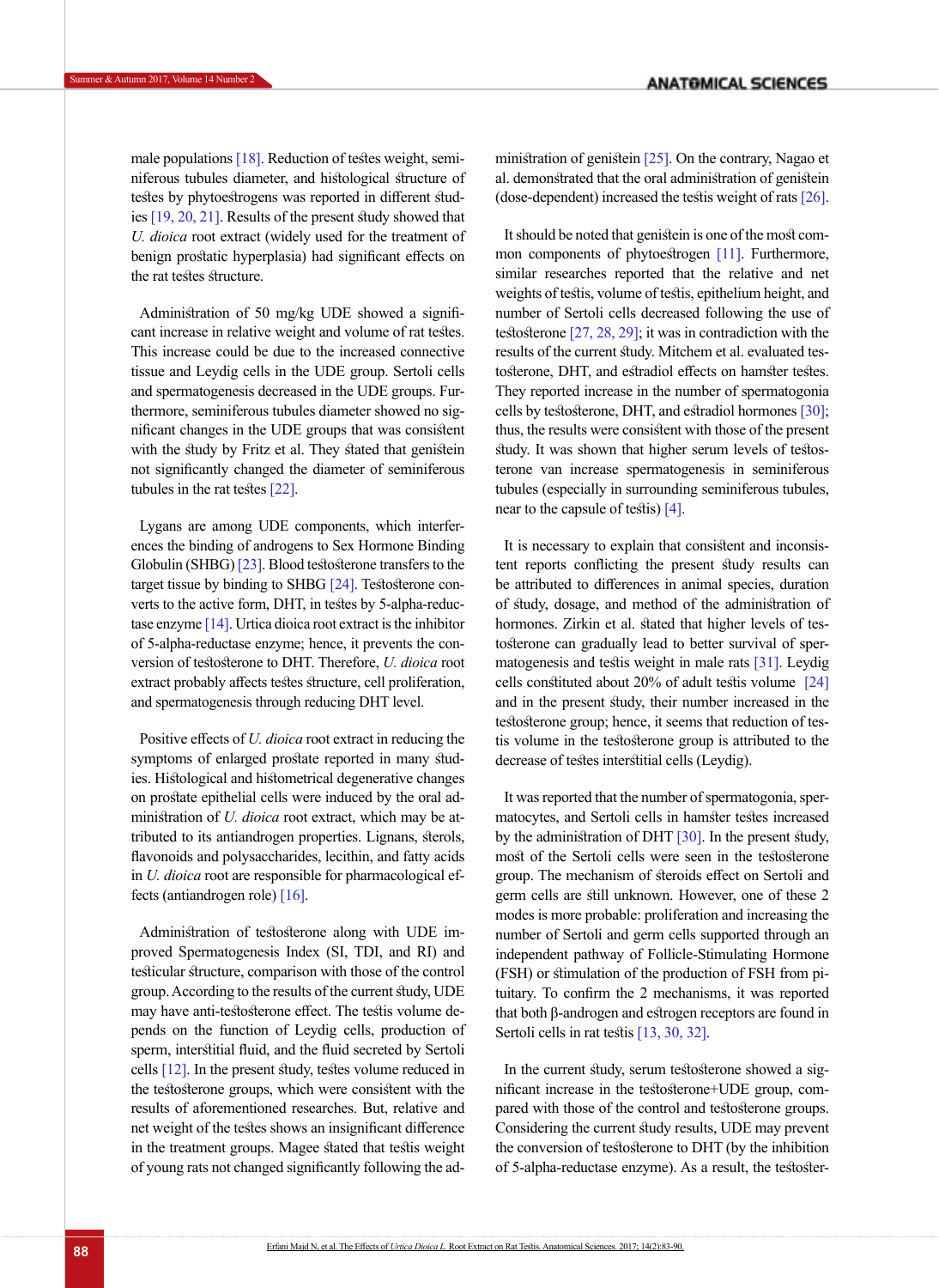male populations [18]. Reduction of testes weight, seminiferous tubules diameter, and histological structure of testes by phytoestrogens was reported in different studies [\[19,](#page-6-11) [20,](#page-6-12) [21\]](#page-7-0). Results of the present study showed that *U. dioica* root extract (widely used for the treatment of benign prostatic hyperplasia) had significant effects on the rat testes structure.

Administration of 50 mg/kg UDE showed a significant increase in relative weight and volume of rat testes. This increase could be due to the increased connective tissue and Leydig cells in the UDE group. Sertoli cells and spermatogenesis decreased in the UDE groups. Furthermore, seminiferous tubules diameter showed no significant changes in the UDE groups that was consistent with the study by Fritz et al. They stated that genistein not significantly changed the diameter of seminiferous tubules in the rat testes [\[22\]](#page-7-1).

Lygans are among UDE components, which interferences the binding of androgens to Sex Hormone Binding Globulin (SHBG) [23]. Blood testosterone transfers to the target tissue by binding to SHBG [\[24\]](#page-7-2). Testosterone converts to the active form, DHT, in testes by 5-alpha-reductase enzyme  $[14]$ . Urtica dioica root extract is the inhibitor of 5-alpha-reductase enzyme; hence, it prevents the conversion of testosterone to DHT. Therefore, *U. dioica* root extract probably affects testes structure, cell proliferation, and spermatogenesis through reducing DHT level.

Positive effects of *U. dioica* root extract in reducing the symptoms of enlarged prostate reported in many studies. Histological and histometrical degenerative changes on prostate epithelial cells were induced by the oral administration of *U. dioica* root extract, which may be attributed to its antiandrogen properties. Lignans, sterols, flavonoids and polysaccharides, lecithin, and fatty acids in *U. dioica* root are responsible for pharmacological effects (antiandrogen role) [\[16\].](#page-6-9)

Administration of testosterone along with UDE improved Spermatogenesis Index (SI, TDI, and RI) and testicular structure, comparison with those of the control group. According to the results of the current study, UDE may have anti-testosterone effect. The testis volume depends on the function of Leydig cells, production of sperm, interstitial fluid, and the fluid secreted by Sertoli cells [\[12\]](#page-6-6). In the present study, testes volume reduced in the testosterone groups, which were consistent with the results of aforementioned researches. But, relative and net weight of the testes shows an insignificant difference in the treatment groups. Magee stated that testis weight of young rats not changed significantly following the administration of genistein [\[25\]](#page-7-3). On the contrary, Nagao et al. demonstrated that the oral administration of genistein (dose-dependent) increased the testis weight of rats [\[26\]](#page-7-4).

It should be noted that genistein is one of the most com-mon components of phytoestrogen [\[11\]](#page-6-5). Furthermore, similar researches reported that the relative and net weights of testis, volume of testis, epithelium height, and number of Sertoli cells decreased following the use of testosterone [\[27,](#page-7-5) [28,](#page-7-6) [29\];](#page-7-7) it was in contradiction with the results of the current study. Mitchem et al. evaluated testosterone, DHT, and estradiol effects on hamster testes. They reported increase in the number of spermatogonia cells by testosterone, DHT, and estradiol hormones [\[30\];](#page-7-8) thus, the results were consistent with those of the present study. It was shown that higher serum levels of testosterone van increase spermatogenesis in seminiferous tubules (especially in surrounding seminiferous tubules, near to the capsule of testis) [\[4\]](#page-6-1).

It is necessary to explain that consistent and inconsistent reports conflicting the present study results can be attributed to differences in animal species, duration of study, dosage, and method of the administration of hormones. Zirkin et al. stated that higher levels of testosterone can gradually lead to better survival of spermatogenesis and testis weight in male rats [\[31\]](#page-7-9). Leydig cells constituted about 20% of adult testis volume [\[24\]](#page-7-2) and in the present study, their number increased in the testosterone group; hence, it seems that reduction of testis volume in the testosterone group is attributed to the decrease of testes interstitial cells (Leydig).

It was reported that the number of spermatogonia, spermatocytes, and Sertoli cells in hamster testes increased by the administration of DHT [\[30\]](#page-7-8). In the present study, most of the Sertoli cells were seen in the testosterone group. The mechanism of steroids effect on Sertoli and germ cells are still unknown. However, one of these 2 modes is more probable: proliferation and increasing the number of Sertoli and germ cells supported through an independent pathway of Follicle-Stimulating Hormone (FSH) or stimulation of the production of FSH from pituitary. To confirm the 2 mechanisms, it was reported that both β-androgen and estrogen receptors are found in Sertoli cells in rat testis [13, [30](#page-7-8), [32\].](#page-7-10)

In the current study, serum testosterone showed a significant increase in the testosterone+UDE group, compared with those of the control and testosterone groups. Considering the current study results, UDE may prevent the conversion of testosterone to DHT (by the inhibition of 5-alpha-reductase enzyme). As a result, the testoster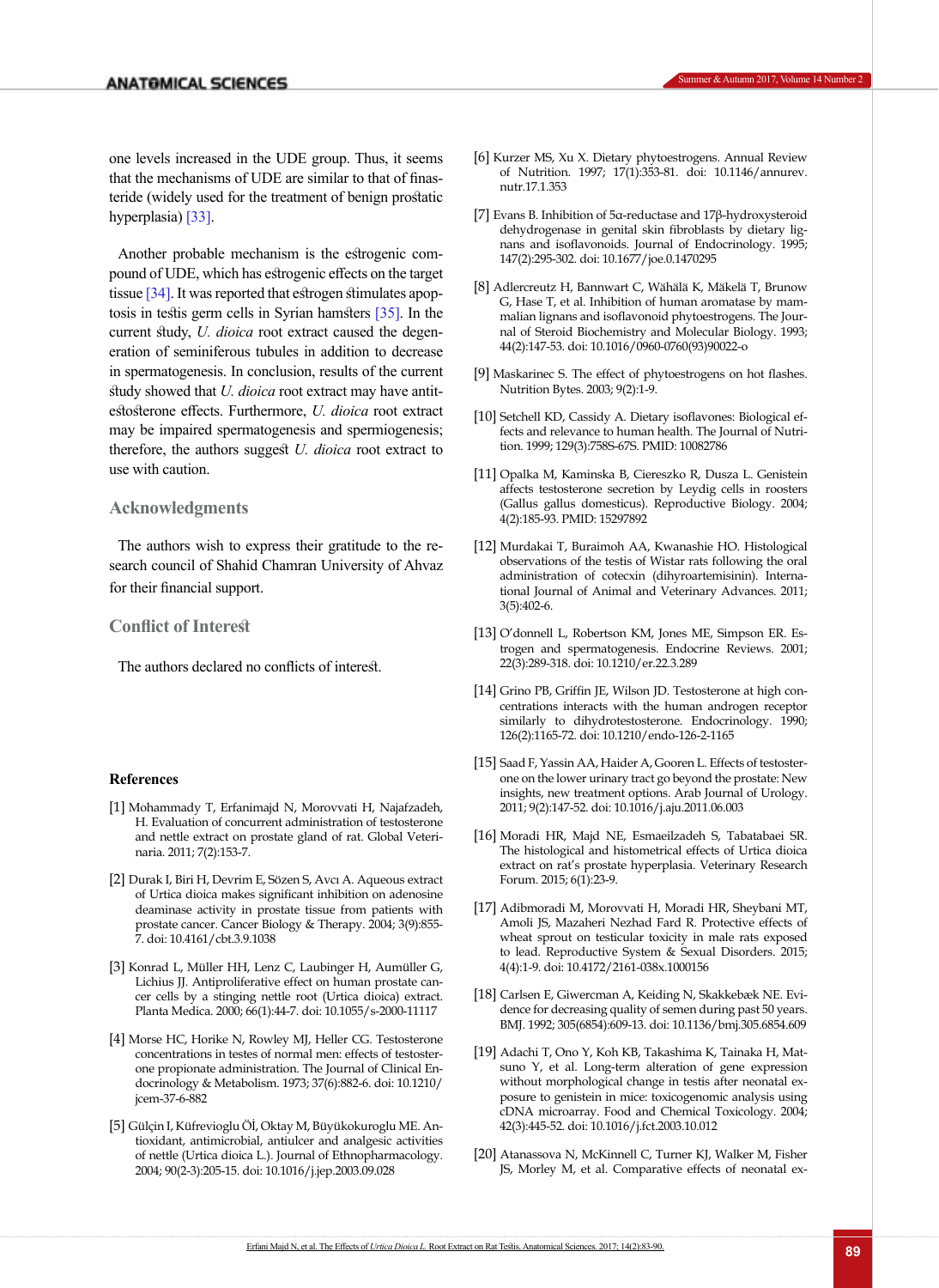one levels increased in the UDE group. Thus, it seems that the mechanisms of UDE are similar to that of finasteride (widely used for the treatment of benign prostatic hyperplasia) [\[33\].](#page-7-11)

Another probable mechanism is the estrogenic compound of UDE, which has estrogenic effects on the target tissue [\[34\].](#page-7-12) It was reported that estrogen stimulates apoptosis in testis germ cells in Syrian hamsters [\[35\].](#page-7-13) In the current study, *U. dioica* root extract caused the degeneration of seminiferous tubules in addition to decrease in spermatogenesis. In conclusion, results of the current study showed that *U. dioica* root extract may have antitestosterone effects. Furthermore, *U. dioica* root extract may be impaired spermatogenesis and spermiogenesis; therefore, the authors suggest *U. dioica* root extract to use with caution.

# **Acknowledgments**

The authors wish to express their gratitude to the research council of Shahid Chamran University of Ahvaz for their financial support.

## **Conflict of Interest**

The authors declared no conflicts of interest.

#### **References**

- <span id="page-6-0"></span>[1] Mohammady T, Erfanimajd N, Morovvati H, Najafzadeh, H. Evaluation of concurrent administration of testosterone and nettle extract on prostate gland of rat. Global Veterinaria. 2011; 7(2):153-7.
- [2] Durak I, Biri H, Devrim E, Sözen S, Avcı A. Aqueous extract of Urtica dioica makes significant inhibition on adenosine deaminase activity in prostate tissue from patients with prostate cancer. Cancer Biology & Therapy. 2004; 3(9):855- 7. doi: 10.4161/cbt.3.9.1038
- [3] Konrad L, Müller HH, Lenz C, Laubinger H, Aumüller G, Lichius JJ. Antiproliferative effect on human prostate cancer cells by a stinging nettle root (Urtica dioica) extract. Planta Medica. 2000; 66(1):44-7. doi: 10.1055/s-2000-11117
- <span id="page-6-1"></span>[4] Morse HC, Horike N, Rowley MJ, Heller CG. Testosterone concentrations in testes of normal men: effects of testosterone propionate administration. The Journal of Clinical Endocrinology & Metabolism. 1973; 37(6):882-6. doi: 10.1210/ jcem-37-6-882
- [5] Gülçin I, Küfrevioglu Öİ, Oktay M, Büyükokuroglu ME. Antioxidant, antimicrobial, antiulcer and analgesic activities of nettle (Urtica dioica L.). Journal of Ethnopharmacology. 2004; 90(2-3):205-15. doi: 10.1016/j.jep.2003.09.028
- <span id="page-6-2"></span>[6] Kurzer MS, Xu X. Dietary phytoestrogens. Annual Review of Nutrition. 1997; 17(1):353-81. doi: 10.1146/annurev. nutr.17.1.353
- [7] Evans B. Inhibition of 5α-reductase and 17β-hydroxysteroid dehydrogenase in genital skin fibroblasts by dietary lignans and isoflavonoids. Journal of Endocrinology. 1995; 147(2):295-302. doi: 10.1677/joe.0.1470295
- [8] Adlercreutz H, Bannwart C, Wähälä K, Mäkelä T, Brunow G, Hase T, et al. Inhibition of human aromatase by mammalian lignans and isoflavonoid phytoestrogens. The Journal of Steroid Biochemistry and Molecular Biology. 1993; 44(2):147-53. doi: 10.1016/0960-0760(93)90022-o
- <span id="page-6-3"></span>[9] Maskarinec S. The effect of phytoestrogens on hot flashes. Nutrition Bytes. 2003; 9(2):1-9.
- <span id="page-6-4"></span>[10] Setchell KD, Cassidy A. Dietary isoflavones: Biological effects and relevance to human health. The Journal of Nutrition. 1999; 129(3):758S-67S. PMID: 10082786
- <span id="page-6-5"></span>[11] Opalka M, Kaminska B, Ciereszko R, Dusza L. Genistein affects testosterone secretion by Leydig cells in roosters (Gallus gallus domesticus). Reproductive Biology. 2004; 4(2):185-93. PMID: 15297892
- <span id="page-6-6"></span>[12] Murdakai T, Buraimoh AA, Kwanashie HO. Histological observations of the testis of Wistar rats following the oral administration of cotecxin (dihyroartemisinin). International Journal of Animal and Veterinary Advances. 2011; 3(5):402-6.
- [13] O'donnell L, Robertson KM, Jones ME, Simpson ER. Estrogen and spermatogenesis. Endocrine Reviews. 2001; 22(3):289-318. doi: 10.1210/er.22.3.289
- <span id="page-6-7"></span>[14] Grino PB, Griffin JE, Wilson JD. Testosterone at high concentrations interacts with the human androgen receptor similarly to dihydrotestosterone. Endocrinology. 1990; 126(2):1165-72. doi: 10.1210/endo-126-2-1165
- <span id="page-6-8"></span>[15] Saad F, Yassin AA, Haider A, Gooren L. Effects of testosterone on the lower urinary tract go beyond the prostate: New insights, new treatment options. Arab Journal of Urology. 2011; 9(2):147-52. doi: 10.1016/j.aju.2011.06.003
- <span id="page-6-9"></span>[16] Moradi HR, Majd NE, Esmaeilzadeh S, Tabatabaei SR. The histological and histometrical effects of Urtica dioica extract on rat's prostate hyperplasia. Veterinary Research Forum. 2015; 6(1):23-9.
- <span id="page-6-10"></span>[17] Adibmoradi M, Morovvati H, Moradi HR, Sheybani MT, Amoli JS, Mazaheri Nezhad Fard R. Protective effects of wheat sprout on testicular toxicity in male rats exposed to lead. Reproductive System & Sexual Disorders. 2015; 4(4):1-9. doi: 10.4172/2161-038x.1000156
- [18] Carlsen E, Giwercman A, Keiding N, Skakkebæk NE. Evidence for decreasing quality of semen during past 50 years. BMJ. 1992; 305(6854):609-13. doi: 10.1136/bmj.305.6854.609
- <span id="page-6-11"></span>[19] Adachi T, Ono Y, Koh KB, Takashima K, Tainaka H, Matsuno Y, et al. Long-term alteration of gene expression without morphological change in testis after neonatal exposure to genistein in mice: toxicogenomic analysis using cDNA microarray. Food and Chemical Toxicology. 2004; 42(3):445-52. doi: 10.1016/j.fct.2003.10.012
- <span id="page-6-12"></span>[20] Atanassova N, McKinnell C, Turner KJ, Walker M, Fisher JS, Morley M, et al. Comparative effects of neonatal ex-